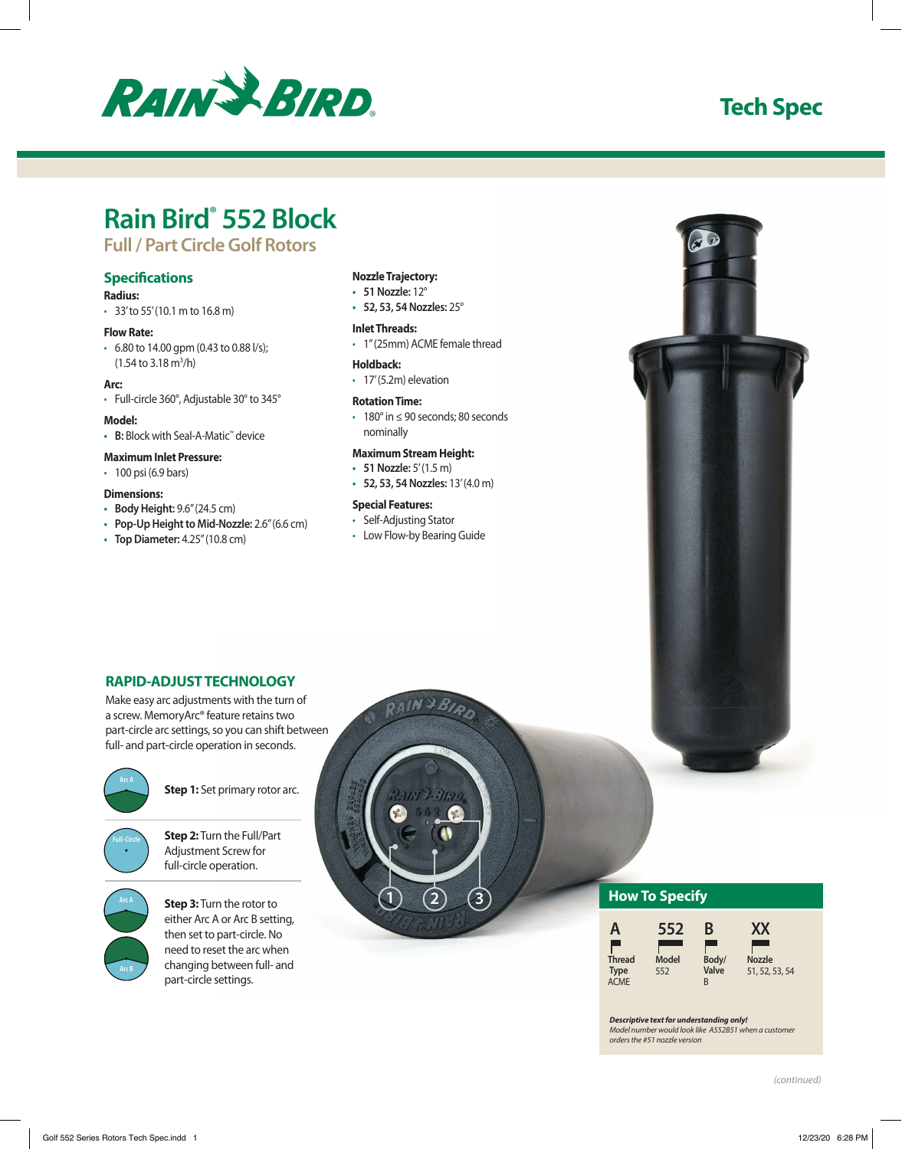

## **Tech Spec**

# **Rain Bird® 552 Block**

## **Full / Part Circle Golf Rotors**

### **Specifications**

#### **Radius:**

• 33' to 55' (10.1 m to 16.8 m)

#### **Flow Rate:**

 $\cdot$  6.80 to 14.00 gpm (0.43 to 0.88 l/s);  $(1.54 \text{ to } 3.18 \text{ m}^3/h)$ 

#### **Arc:**

• Full-circle 360°, Adjustable 30° to 345°

#### **Model:**

**• B:** Block with Seal-A-Matic™ device

## **Maximum Inlet Pressure:**

• 100 psi (6.9 bars)

#### **Dimensions:**

- **• Body Height:** 9.6" (24.5 cm)
- **• Pop-Up Height to Mid-Nozzle:** 2.6" (6.6 cm)
- **• Top Diameter:** 4.25" (10.8 cm)

#### **Nozzle Trajectory:**

- **• 51 Nozzle:** 12°
- **• 52, 53, 54 Nozzles:** 25°

#### **Inlet Threads:**

• 1" (25mm) ACME female thread

#### **Holdback:**

• 17' (5.2m) elevation

#### **Rotation Time:**

• 180° in ≤ 90 seconds; 80 seconds nominally

#### **Maximum Stream Height:**

- **• 51 Nozzle:** 5' (1.5 m)
- **• 52, 53, 54 Nozzles:** 13' (4.0 m)

#### **Special Features:**

- Self-Adjusting Stator
- Low Flow-by Bearing Guide

**1** (2)  $(3)$ 

## **RAPID-ADJUST TECHNOLOGY**

Make easy arc adjustments with the turn of a screw. MemoryArc® feature retains two part-circle arc settings, so you can shift between full- and part-circle operation in seconds.



**Step 1:** Set primary rotor arc.



**Step 2:** Turn the Full/Part Adjustment Screw for full-circle operation.



**Step 3:** Turn the rotor to either Arc A or Arc B setting, then set to part-circle. No need to reset the arc when changing between full- and part-circle settings.

### **How To Specify**

| 552   | <b>X</b>                 |
|-------|--------------------------|
| Model | <b>Nozzle</b>            |
| 552   | 51, 52, 53, 54           |
|       | B<br>Body/<br>Valve<br>R |

#### *Descriptive text for understanding only!*

*Model number would look like A552B51 when a customer orders the #51 nozzle version*

*(continued)*